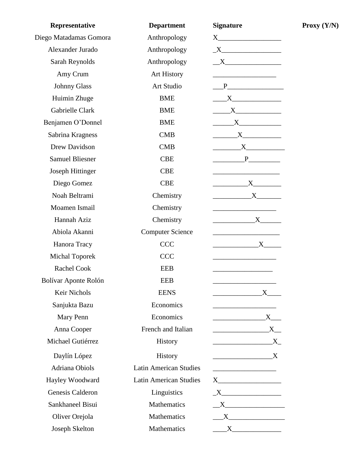| Representative          | <b>Department</b>             | <b>Signature</b>                                                                                                                                                                                                                                                                                                                                                                                                                                                                |
|-------------------------|-------------------------------|---------------------------------------------------------------------------------------------------------------------------------------------------------------------------------------------------------------------------------------------------------------------------------------------------------------------------------------------------------------------------------------------------------------------------------------------------------------------------------|
| Diego Matadamas Gomora  | Anthropology                  |                                                                                                                                                                                                                                                                                                                                                                                                                                                                                 |
| Alexander Jurado        | Anthropology                  | $\begin{tabular}{c} $X$ \end{tabular}$                                                                                                                                                                                                                                                                                                                                                                                                                                          |
| Sarah Reynolds          | Anthropology                  | $\begin{tabular}{c} $X$ & \end{tabular}$                                                                                                                                                                                                                                                                                                                                                                                                                                        |
| Amy Crum                | <b>Art History</b>            | <u> 1989 - Johann Barbara, martin amerikan basar da</u>                                                                                                                                                                                                                                                                                                                                                                                                                         |
| <b>Johnny Glass</b>     | Art Studio                    | $P$ and $P$ and $P$ and $P$ and $P$ and $P$ and $P$ and $P$ and $P$ and $P$ and $P$ and $P$ and $P$ and $P$ and $P$ and $P$ and $P$ and $P$ and $P$ and $P$ and $P$ and $P$ and $P$ and $P$ and $P$ and $P$ and $P$ and $P$ a                                                                                                                                                                                                                                                   |
| Huimin Zhuge            | <b>BME</b>                    | $X$ and $X$ and $X$ and $X$ and $X$ and $X$ and $X$ and $X$ and $X$ and $X$ and $X$ and $X$ and $X$ and $X$ and $X$ and $X$ and $X$ and $X$ and $X$ and $X$ and $X$ and $X$ and $X$ and $X$ and $X$ and $X$ and $X$ and $X$ a                                                                                                                                                                                                                                                   |
| Gabrielle Clark         | <b>BME</b>                    | $X$ and $X$ and $X$ and $X$ and $X$ and $X$ and $X$ and $X$ and $X$ and $X$ and $X$ and $X$ and $X$ and $X$ and $X$ and $X$ and $X$ and $X$ and $X$ and $X$ and $X$ and $X$ and $X$ and $X$ and $X$ and $X$ and $X$ and $X$ a                                                                                                                                                                                                                                                   |
| Benjamen O'Donnel       | <b>BME</b>                    | $\overline{\mathbf{X}}$                                                                                                                                                                                                                                                                                                                                                                                                                                                         |
| Sabrina Kragness        | <b>CMB</b>                    | $\overline{\mathbf{X}}$                                                                                                                                                                                                                                                                                                                                                                                                                                                         |
| Drew Davidson           | CMB                           | $\overline{\text{X}}$                                                                                                                                                                                                                                                                                                                                                                                                                                                           |
| <b>Samuel Bliesner</b>  | <b>CBE</b>                    | $\mathbf{P}$                                                                                                                                                                                                                                                                                                                                                                                                                                                                    |
| <b>Joseph Hittinger</b> | <b>CBE</b>                    |                                                                                                                                                                                                                                                                                                                                                                                                                                                                                 |
| Diego Gomez             | <b>CBE</b>                    | $\begin{array}{c}\nX\n\end{array}$                                                                                                                                                                                                                                                                                                                                                                                                                                              |
| Noah Beltrami           | Chemistry                     |                                                                                                                                                                                                                                                                                                                                                                                                                                                                                 |
| Moamen Ismail           | Chemistry                     |                                                                                                                                                                                                                                                                                                                                                                                                                                                                                 |
| Hannah Aziz             | Chemistry                     | $\mathbf{X}$ and $\mathbf{X}$ and $\mathbf{X}$ and $\mathbf{X}$ and $\mathbf{X}$ and $\mathbf{X}$ and $\mathbf{X}$ and $\mathbf{X}$ and $\mathbf{X}$ and $\mathbf{X}$ and $\mathbf{X}$ and $\mathbf{X}$ and $\mathbf{X}$ and $\mathbf{X}$ and $\mathbf{X}$ and $\mathbf{X}$ and $\mathbf{X}$ and                                                                                                                                                                                |
| Abiola Akanni           | <b>Computer Science</b>       |                                                                                                                                                                                                                                                                                                                                                                                                                                                                                 |
| Hanora Tracy            | <b>CCC</b>                    | $\overbrace{\text{ }}$ $\text{ }}$ $\text{ }}$ $\text{ }}$ $\text{ }}$ $\text{ }}$ $\text{ }}$ $\text{ }}$ $\text{ }}$ $\text{ }}$ $\text{ }}$ $\text{ }}$ $\text{ }}$ $\text{ }}$ $\text{ }}$ $\text{ }}$ $\text{ }}$ $\text{ }}$ $\text{ }}$ $\text{ }}$ $\text{ }}$ $\text{ }}$ $\text{ }}$ $\text{ }}$ $\text{ }}$ $\text{ }}$ $\text{ }}$ $\text{ }}$ $\text{ }}$ $\text{ }}$ $\text{ }}$                                                                                  |
| <b>Michal Toporek</b>   | <b>CCC</b>                    |                                                                                                                                                                                                                                                                                                                                                                                                                                                                                 |
| <b>Rachel Cook</b>      | <b>EEB</b>                    |                                                                                                                                                                                                                                                                                                                                                                                                                                                                                 |
| Bolívar Aponte Rolón    | <b>EEB</b>                    |                                                                                                                                                                                                                                                                                                                                                                                                                                                                                 |
| Keir Nichols            | <b>EENS</b>                   | $\overline{\phantom{a}}$ $\overline{\phantom{a}}$ $\overline{\phantom{a}}$ $\overline{\phantom{a}}$ $\overline{\phantom{a}}$ $\overline{\phantom{a}}$ $\overline{\phantom{a}}$ $\overline{\phantom{a}}$ $\overline{\phantom{a}}$ $\overline{\phantom{a}}$ $\overline{\phantom{a}}$ $\overline{\phantom{a}}$ $\overline{\phantom{a}}$ $\overline{\phantom{a}}$ $\overline{\phantom{a}}$ $\overline{\phantom{a}}$ $\overline{\phantom{a}}$ $\overline{\phantom{a}}$ $\overline{\$ |
| Sanjukta Bazu           | Economics                     |                                                                                                                                                                                                                                                                                                                                                                                                                                                                                 |
| Mary Penn               | Economics                     | $\overbrace{\text{ }}$ $\text{ }}$ $\text{ }}$ $\text{ }}$ $\text{ }}$ $\text{ }}$ $\text{ }}$ $\text{ }}$ $\text{ }}$ $\text{ }}$ $\text{ }}$ $\text{ }}$ $\text{ }}$ $\text{ }}$ $\text{ }}$ $\text{ }}$ $\text{ }}$ $\text{ }}$ $\text{ }}$ $\text{ }}$ $\text{ }}$ $\text{ }}$ $\text{ }}$ $\text{ }}$ $\text{ }}$ $\text{ }}$ $\text{ }}$ $\text{ }}$ $\text{ }}$ $\text{ }}$ $\text{ }}$                                                                                  |
| Anna Cooper             | French and Italian            | $\overbrace{\text{ }}$ $\text{ }}$ $\text{ }}$ $\text{ }}$ $\text{ }}$ $\text{ }}$ $\text{ }}$ $\text{ }}$ $\text{ }}$ $\text{ }}$ $\text{ }}$ $\text{ }}$ $\text{ }}$ $\text{ }}$ $\text{ }}$ $\text{ }}$ $\text{ }}$ $\text{ }}$ $\text{ }}$ $\text{ }}$ $\text{ }}$ $\text{ }}$ $\text{ }}$ $\text{ }}$ $\text{ }}$ $\text{ }}$ $\text{ }}$ $\text{ }}$ $\text{ }}$ $\text{ }}$ $\text{ }}$                                                                                  |
| Michael Gutiérrez       | History                       |                                                                                                                                                                                                                                                                                                                                                                                                                                                                                 |
| Daylín López            | History                       | $\overline{\phantom{a}}$ $\overline{\phantom{a}}$ $\overline{\phantom{a}}$ $\overline{\phantom{a}}$ $\overline{\phantom{a}}$ $\overline{\phantom{a}}$ $\overline{\phantom{a}}$ $\overline{\phantom{a}}$ $\overline{\phantom{a}}$ $\overline{\phantom{a}}$ $\overline{\phantom{a}}$ $\overline{\phantom{a}}$ $\overline{\phantom{a}}$ $\overline{\phantom{a}}$ $\overline{\phantom{a}}$ $\overline{\phantom{a}}$ $\overline{\phantom{a}}$ $\overline{\phantom{a}}$ $\overline{\$ |
| Adriana Obiols          | <b>Latin American Studies</b> | <u> 1989 - Johann Barn, mars et al. (b. 1989)</u>                                                                                                                                                                                                                                                                                                                                                                                                                               |
| Hayley Woodward         | <b>Latin American Studies</b> |                                                                                                                                                                                                                                                                                                                                                                                                                                                                                 |
| Genesis Calderon        | Linguistics                   | $\begin{tabular}{c} $X$ \end{tabular}$                                                                                                                                                                                                                                                                                                                                                                                                                                          |
| Sankhaneel Bisui        | Mathematics                   | X                                                                                                                                                                                                                                                                                                                                                                                                                                                                               |
| Oliver Orejola          | Mathematics                   |                                                                                                                                                                                                                                                                                                                                                                                                                                                                                 |
| Joseph Skelton          | Mathematics                   | $\mathbf{X}$ and $\mathbf{X}$ and $\mathbf{X}$ and $\mathbf{X}$ and $\mathbf{X}$ are $\mathbf{X}$ and $\mathbf{X}$ and $\mathbf{X}$ are $\mathbf{X}$ and $\mathbf{X}$ are $\mathbf{X}$ and $\mathbf{X}$ and $\mathbf{X}$ are $\mathbf{X}$ and $\mathbf{X}$ are $\mathbf{X}$ and $\mathbf{X}$ are                                                                                                                                                                                |

**Proxy (Y/N)**